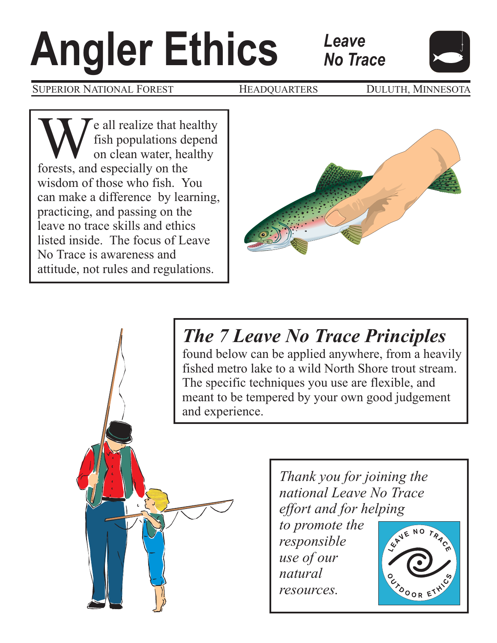# **Angler SUPERIOR NATIONAL FOREST HEADQU**

SUPERIOR NATIONAL FOREST **HEADQUARTERS** DULUTH, MINNESOTA

We all realize that healthy<br>fish populations depend<br>on clean water, healthy<br>forests, and especially on the fish populations depend on clean water, healthy wisdom of those who fish. You can make a difference by learning, practicing, and passing on the leave no trace skills and ethics listed inside. The focus of Leave No Trace is awareness and attitude, not rules and regulations.



*Leave*

*No Trace*

# *The 7 Leave No Trace Principles*

found below can be applied anywhere, from a heavily fished metro lake to a wild North Shore trout stream. The specific techniques you use are flexible, and meant to be tempered by your own good judgement and experience.



*Thank you for joining the national Leave No Trace effort and for helping*

*to promote the responsible use of our natural resources.*

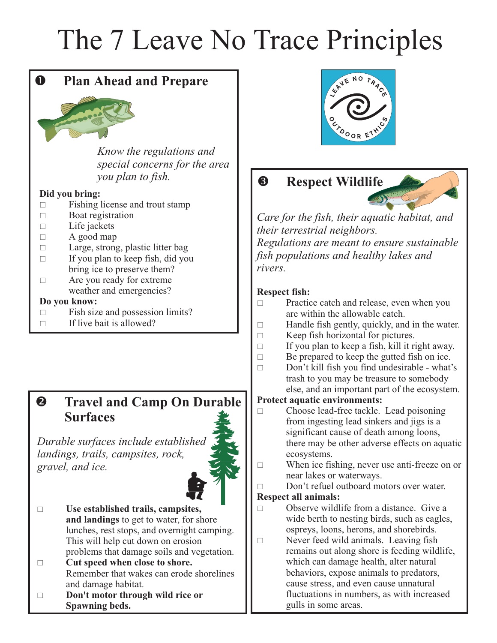# The 7 Leave No Trace Principles

# **Q** Plan Ahead and Prepare



*Know the regulations and special concerns for the area you plan to fish.*

#### **Did you bring:**

- $\Box$ Fishing license and trout stamp
- Boat registration
- $\Box$ Life jackets
- $\Box$ A good map
- $\Box$ Large, strong, plastic litter bag If you plan to keep fish, did you
- bring ice to preserve them?
- $\Box$ Are you ready for extreme weather and emergencies?

#### **Do you know:**

- $\Box$ Fish size and possession limits?
- $\Box$ If live bait is allowed?

#### $\boldsymbol{Q}$  **Travel and Camp On Durable Surfaces**

*Durable surfaces include Durable surfaces include established landings, trails, campsites, rock, campsites, rock, gravel, and ice. gravel, and ice.*



- $\Box$ **Use established trails, campsites, and landings** to get to water, for shore lunches, rest stops, and overnight camping. This will help cut down on erosion problems that damage soils and vegetation.
- $\Box$ **Cut speed when close to shore.** Remember that wakes can erode shorelines and damage habitat.
- $\Box$ **Don't motor through wild rice or Spawning beds.**



# **8** Respect Wildlife



*Care for the fish, their aquatic habitat, and their terrestrial neighbors.*

*Regulations are meant to ensure sustainable fish populations and healthy lakes and rivers.*

#### **Respect fish:**

- $\Box$ Practice catch and release, even when you are within the allowable catch.
- $\Box$ Handle fish gently, quickly, and in the water.
- $\Box$ Keep fish horizontal for pictures.
- $\Box$ If you plan to keep a fish, kill it right away.
- $\Box$ Be prepared to keep the gutted fish on ice.
- $\Box$ Don't kill fish you find undesirable - what's trash to you may be treasure to somebody else, and an important part of the ecosystem.

#### **Protect aquatic environments:**

- Choose lead-free tackle. Lead poisoning from ingesting lead sinkers and jigs is a significant cause of death among loons, there may be other adverse effects on aquatic ecosystems.
- When ice fishing, never use anti-freeze on or near lakes or waterways.

- Don't refuel outboard motors over water.

#### **Respect all animals:**

- $\Box$ Observe wildlife from a distance. Give a wide berth to nesting birds, such as eagles, ospreys, loons, herons, and shorebirds.
- Never feed wild animals. Leaving fish remains out along shore is feeding wildlife, which can damage health, alter natural behaviors, expose animals to predators, cause stress, and even cause unnatural fluctuations in numbers, as with increased gulls in some areas.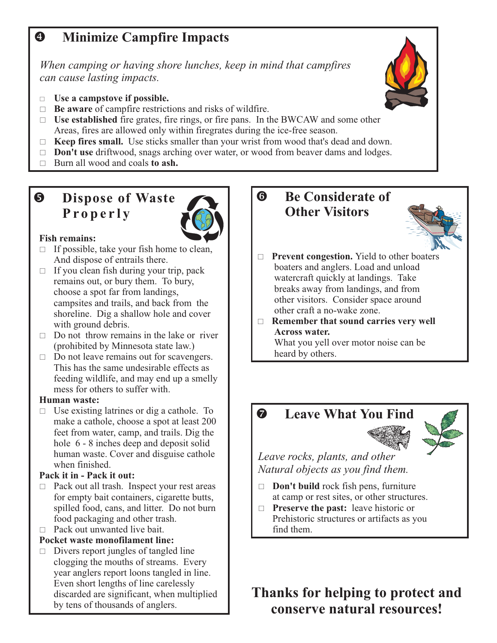# **4** Minimize Campfire Impacts

*When camping or having shore lunches, keep in mind that campfires can cause lasting impacts.*

- $\overline{\phantom{0}}$ **Use a campstove if possible.**
- □ **Be aware** of campfire restrictions and risks of wildfire.
- □ Use established fire grates, fire rings, or fire pans. In the BWCAW and some other Areas, fires are allowed only within firegrates during the ice-free season.
- □ Keep fires small. Use sticks smaller than your wrist from wood that's dead and down.
- **Don't use** driftwood, snags arching over water, or wood from beaver dams and lodges.  $\Box$
- Burn all wood and coals to ash.  $\Box$

### **9** Dispose of Waste **Properly**



#### **Fish remains:**

- $\Box$  If possible, take your fish home to clean, And dispose of entrails there.
- □ If you clean fish during your trip, pack remains out, or bury them. To bury, choose a spot far from landings, campsites and trails, and back from the shoreline. Dig a shallow hole and cover with ground debris.
- $\Box$  Do not throw remains in the lake or river (prohibited by Minnesota state law.)
- □ Do not leave remains out for scavengers. This has the same undesirable effects as feeding wildlife, and may end up a smelly mess for others to suffer with.

#### **Human waste:**

□ Use existing latrines or dig a cathole. To make a cathole, choose a spot at least 200 feet from water, camp, and trails. Dig the hole 6 - 8 inches deep and deposit solid human waste. Cover and disguise cathole when finished.

#### **Pack it in - Pack it out:**

- □ Pack out all trash. Inspect your rest areas for empty bait containers, cigarette butts, spilled food, cans, and litter. Do not burn food packaging and other trash.
- $\Box$  Pack out unwanted live bait.

#### **Pocket waste monofilament line:**

- Divers report jungles of tangled line clogging the mouths of streams. Every year anglers report loons tangled in line. Even short lengths of line carelessly discarded are significant, when multiplied by tens of thousands of anglers.

# **8** Be Considerate of **Other Visitors**



- □ **Prevent congestion.** Yield to other boaters boaters and anglers. Load and unload watercraft quickly at landings. Take breaks away from landings, and from other visitors. Consider space around other craft a no-wake zone.
- □ Remember that sound carries very well **Across water.** What you yell over motor noise can be

heard by others.

# **2** Leave What You Find



*Leave rocks, plants, and other Natural objects as you find them.*

- - **Don't build** rock fish pens, furniture at camp or rest sites, or other structures.
- $\Box$  **Preserve the past:** leave historic or Prehistoric structures or artifacts as you find them.

# **Thanks for helping to protect and conserve natural resources!**